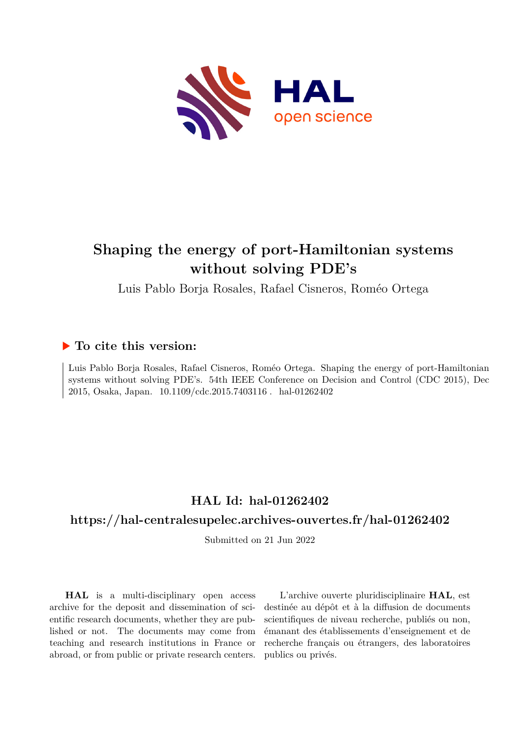

# **Shaping the energy of port-Hamiltonian systems without solving PDE's**

Luis Pablo Borja Rosales, Rafael Cisneros, Roméo Ortega

# **To cite this version:**

Luis Pablo Borja Rosales, Rafael Cisneros, Roméo Ortega. Shaping the energy of port-Hamiltonian systems without solving PDE's. 54th IEEE Conference on Decision and Control (CDC 2015), Dec 2015, Osaka, Japan.  $10.1109/\text{cdc}.2015.7403116$ . hal-01262402

# **HAL Id: hal-01262402**

# **<https://hal-centralesupelec.archives-ouvertes.fr/hal-01262402>**

Submitted on 21 Jun 2022

**HAL** is a multi-disciplinary open access archive for the deposit and dissemination of scientific research documents, whether they are published or not. The documents may come from teaching and research institutions in France or abroad, or from public or private research centers.

L'archive ouverte pluridisciplinaire **HAL**, est destinée au dépôt et à la diffusion de documents scientifiques de niveau recherche, publiés ou non, émanant des établissements d'enseignement et de recherche français ou étrangers, des laboratoires publics ou privés.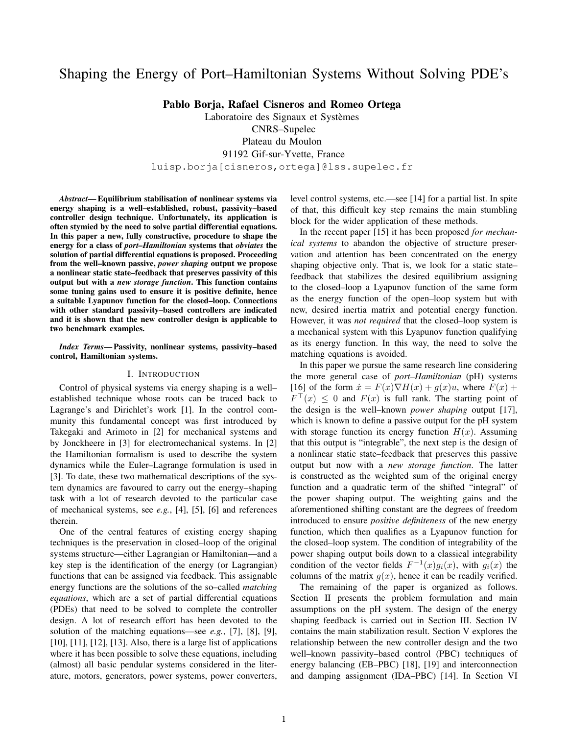# Shaping the Energy of Port–Hamiltonian Systems Without Solving PDE's

Pablo Borja, Rafael Cisneros and Romeo Ortega

Laboratoire des Signaux et Systèmes CNRS–Supelec Plateau du Moulon 91192 Gif-sur-Yvette, France luisp.borja[cisneros,ortega]@lss.supelec.fr

*Abstract*— Equilibrium stabilisation of nonlinear systems via energy shaping is a well–established, robust, passivity–based controller design technique. Unfortunately, its application is often stymied by the need to solve partial differential equations. In this paper a new, fully constructive, procedure to shape the energy for a class of *port–Hamiltonian* systems that *obviates* the solution of partial differential equations is proposed. Proceeding from the well–known passive, *power shaping* output we propose a nonlinear static state–feedback that preserves passivity of this output but with a *new storage function*. This function contains some tuning gains used to ensure it is positive definite, hence a suitable Lyapunov function for the closed–loop. Connections with other standard passivity–based controllers are indicated and it is shown that the new controller design is applicable to two benchmark examples.

*Index Terms*— Passivity, nonlinear systems, passivity–based control, Hamiltonian systems.

#### I. INTRODUCTION

Control of physical systems via energy shaping is a well– established technique whose roots can be traced back to Lagrange's and Dirichlet's work [1]. In the control community this fundamental concept was first introduced by Takegaki and Arimoto in [2] for mechanical systems and by Jonckheere in [3] for electromechanical systems. In [2] the Hamiltonian formalism is used to describe the system dynamics while the Euler–Lagrange formulation is used in [3]. To date, these two mathematical descriptions of the system dynamics are favoured to carry out the energy–shaping task with a lot of research devoted to the particular case of mechanical systems, see *e.g.*, [4], [5], [6] and references therein.

One of the central features of existing energy shaping techniques is the preservation in closed–loop of the original systems structure—either Lagrangian or Hamiltonian—and a key step is the identification of the energy (or Lagrangian) functions that can be assigned via feedback. This assignable energy functions are the solutions of the so–called *matching equations*, which are a set of partial differential equations (PDEs) that need to be solved to complete the controller design. A lot of research effort has been devoted to the solution of the matching equations—see *e.g.*, [7], [8], [9], [10], [11], [12], [13]. Also, there is a large list of applications where it has been possible to solve these equations, including (almost) all basic pendular systems considered in the literature, motors, generators, power systems, power converters,

level control systems, etc.—see [14] for a partial list. In spite of that, this difficult key step remains the main stumbling block for the wider application of these methods.

In the recent paper [15] it has been proposed *for mechanical systems* to abandon the objective of structure preservation and attention has been concentrated on the energy shaping objective only. That is, we look for a static state– feedback that stabilizes the desired equilibrium assigning to the closed–loop a Lyapunov function of the same form as the energy function of the open–loop system but with new, desired inertia matrix and potential energy function. However, it was *not required* that the closed–loop system is a mechanical system with this Lyapunov function qualifying as its energy function. In this way, the need to solve the matching equations is avoided.

In this paper we pursue the same research line considering the more general case of *port–Hamiltonian* (pH) systems [16] of the form  $\dot{x} = F(x)\nabla H(x) + g(x)u$ , where  $F(x)$  +  $F^+(x) \leq 0$  and  $F(x)$  is full rank. The starting point of the design is the well–known *power shaping* output [17], which is known to define a passive output for the pH system with storage function its energy function  $H(x)$ . Assuming that this output is "integrable", the next step is the design of a nonlinear static state–feedback that preserves this passive output but now with a *new storage function*. The latter is constructed as the weighted sum of the original energy function and a quadratic term of the shifted "integral" of the power shaping output. The weighting gains and the aforementioned shifting constant are the degrees of freedom introduced to ensure *positive definiteness* of the new energy function, which then qualifies as a Lyapunov function for the closed–loop system. The condition of integrability of the power shaping output boils down to a classical integrability condition of the vector fields  $F^{-1}(x)g_i(x)$ , with  $g_i(x)$  the columns of the matrix  $g(x)$ , hence it can be readily verified.

The remaining of the paper is organized as follows. Section II presents the problem formulation and main assumptions on the pH system. The design of the energy shaping feedback is carried out in Section III. Section IV contains the main stabilization result. Section V explores the relationship between the new controller design and the two well–known passivity–based control (PBC) techniques of energy balancing (EB–PBC) [18], [19] and interconnection and damping assignment (IDA–PBC) [14]. In Section VI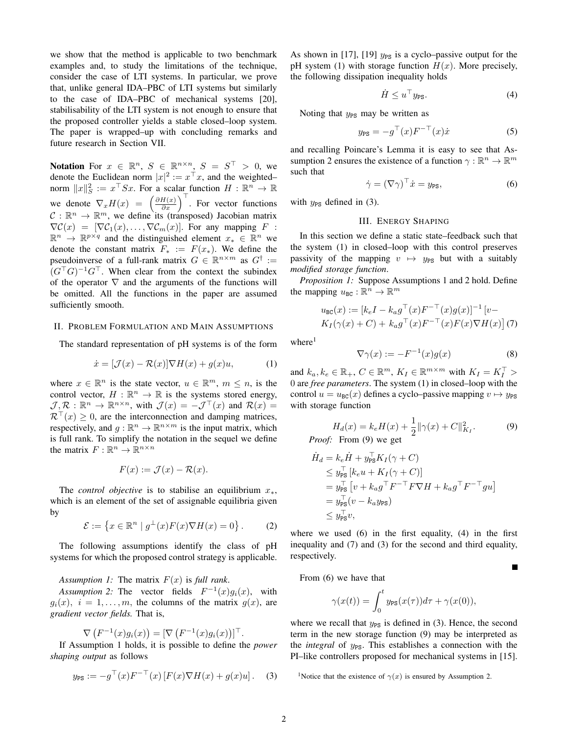we show that the method is applicable to two benchmark examples and, to study the limitations of the technique, consider the case of LTI systems. In particular, we prove that, unlike general IDA–PBC of LTI systems but similarly to the case of IDA–PBC of mechanical systems [20], stabilisability of the LTI system is not enough to ensure that the proposed controller yields a stable closed–loop system. The paper is wrapped–up with concluding remarks and future research in Section VII.

Notation For  $x \in \mathbb{R}^n$ ,  $S \in \mathbb{R}^{n \times n}$ ,  $S = S^{\top} > 0$ , we denote the Euclidean norm  $|x|^2 := x^\top x$ , and the weighted– norm  $||x||_S^2 := x^\top S x$ . For a scalar function  $H : \mathbb{R}^n \to \mathbb{R}$ we denote  $\nabla_x H(x) = \left(\frac{\partial H(x)}{\partial x}\right)^\top$ . For vector functions  $C: \mathbb{R}^n \to \mathbb{R}^m$ , we define its (transposed) Jacobian matrix  $\nabla \mathcal{C}(x) = [\nabla \mathcal{C}_1(x), \ldots, \nabla \mathcal{C}_m(x)].$  For any mapping F:  $\mathbb{R}^n \to \mathbb{R}^{p \times q}$  and the distinguished element  $x_* \in \mathbb{R}^n$  we denote the constant matrix  $F_* := F(x_*)$ . We define the pseudoinverse of a full-rank matrix  $G \in \mathbb{R}^{n \times m}$  as  $G^{\dagger} :=$  $(G<sup>T</sup>G)<sup>-1</sup>G<sup>T</sup>$ . When clear from the context the subindex of the operator  $\nabla$  and the arguments of the functions will be omitted. All the functions in the paper are assumed sufficiently smooth.

### II. PROBLEM FORMULATION AND MAIN ASSUMPTIONS

The standard representation of pH systems is of the form

$$
\dot{x} = [\mathcal{J}(x) - \mathcal{R}(x)]\nabla H(x) + g(x)u,\tag{1}
$$

where  $x \in \mathbb{R}^n$  is the state vector,  $u \in \mathbb{R}^m$ ,  $m \leq n$ , is the control vector,  $H : \mathbb{R}^n \to \mathbb{R}$  is the systems stored energy,  $\mathcal{J}, \mathcal{R} : \mathbb{R}^n \to \mathbb{R}^{n \times n}$ , with  $\mathcal{J}(x) = -\mathcal{J}^\top(x)$  and  $\mathcal{R}(x) =$  $\mathcal{R}^+(x) \geq 0$ , are the interconnection and damping matrices, respectively, and  $g : \mathbb{R}^n \to \mathbb{R}^{n \times m}$  is the input matrix, which is full rank. To simplify the notation in the sequel we define the matrix  $F: \mathbb{R}^n \to \mathbb{R}^{n \times n}$ 

$$
F(x) := \mathcal{J}(x) - \mathcal{R}(x).
$$

The *control objective* is to stabilise an equilibrium  $x_*,$ which is an element of the set of assignable equilibria given by

$$
\mathcal{E} := \left\{ x \in \mathbb{R}^n \mid g^\perp(x) F(x) \nabla H(x) = 0 \right\}.
$$
 (2)

The following assumptions identify the class of pH systems for which the proposed control strategy is applicable.

*Assumption 1:* The matrix  $F(x)$  is *full rank*.

*Assumption 2:* The vector fields  $F^{-1}(x)g_i(x)$ , with  $g_i(x)$ ,  $i = 1, \ldots, m$ , the columns of the matrix  $g(x)$ , are *gradient vector fields.* That is,

$$
\nabla \left( F^{-1}(x) g_i(x) \right) = \left[ \nabla \left( F^{-1}(x) g_i(x) \right) \right]^\top.
$$

If Assumption 1 holds, it is possible to define the *power shaping output* as follows

$$
y_{\text{PS}} := -g^{\top}(x)F^{-\top}(x)[F(x)\nabla H(x) + g(x)u].
$$
 (3)

As shown in [17], [19]  $y_{PS}$  is a cyclo–passive output for the pH system (1) with storage function  $H(x)$ . More precisely, the following dissipation inequality holds

$$
\dot{H} \le u^\top y_{\text{PS}}.\tag{4}
$$

Noting that  $y_{PS}$  may be written as

$$
y_{\rm PS} = -g^{\top}(x)F^{-\top}(x)\dot{x} \tag{5}
$$

and recalling Poincare's Lemma it is easy to see that Assumption 2 ensures the existence of a function  $\gamma : \mathbb{R}^n \to \mathbb{R}^m$ such that

$$
\dot{\gamma} = (\nabla \gamma)^{\top} \dot{x} = y_{\text{PS}},\tag{6}
$$

with  $y_{PS}$  defined in (3).

### III. ENERGY SHAPING

In this section we define a static state–feedback such that the system (1) in closed–loop with this control preserves passivity of the mapping  $v \mapsto y_{\text{PS}}$  but with a suitably *modified storage function*.

*Proposition 1:* Suppose Assumptions 1 and 2 hold. Define the mapping  $u_{BC} : \mathbb{R}^n \to \mathbb{R}^m$ 

$$
u_{\text{BC}}(x) := [k_e I - k_a g^\top(x) F^{-\top}(x) g(x)]^{-1} [v - K_I(\gamma(x) + C) + k_a g^\top(x) F^{-\top}(x) F(x) \nabla H(x)] \tag{7}
$$

 $where<sup>1</sup>$ 

$$
\nabla \gamma(x) := -F^{-1}(x)g(x) \tag{8}
$$

and  $k_a, k_e \in \mathbb{R}_+$ ,  $C \in \mathbb{R}^m$ ,  $K_I \in \mathbb{R}^{m \times m}$  with  $K_I = K_I^{\top} >$ 0 are *free parameters*. The system (1) in closed–loop with the control  $u = u_{BC}(x)$  defines a cyclo–passive mapping  $v \mapsto y_{PS}$ with storage function

$$
H_d(x) = k_e H(x) + \frac{1}{2} ||\gamma(x) + C||_{K_I}^2.
$$
 (9)  
Proof: From (9) we get

$$
\dot{H}_d = k_e \dot{H} + y_{PS}^{\top} K_I(\gamma + C)
$$
\n
$$
\leq y_{PS}^{\top} [k_e u + K_I(\gamma + C)]
$$
\n
$$
= y_{PS}^{\top} [v + k_a g^{\top} F^{-\top} F \nabla H + k_a g^{\top} F^{-\top} g u]
$$
\n
$$
= y_{PS}^{\top} (v - k_a y_{PS})
$$
\n
$$
\leq y_{PS}^{\top} v,
$$

where we used  $(6)$  in the first equality,  $(4)$  in the first inequality and (7) and (3) for the second and third equality, respectively.

 $\blacksquare$ 

From (6) we have that

$$
\gamma(x(t)) = \int_0^t y_{\rm PS}(x(\tau)) d\tau + \gamma(x(0)),
$$

where we recall that  $y_{PS}$  is defined in (3). Hence, the second term in the new storage function (9) may be interpreted as the *integral* of  $y_{PS}$ . This establishes a connection with the PI–like controllers proposed for mechanical systems in [15].

<sup>&</sup>lt;sup>1</sup>Notice that the existence of  $\gamma(x)$  is ensured by Assumption 2.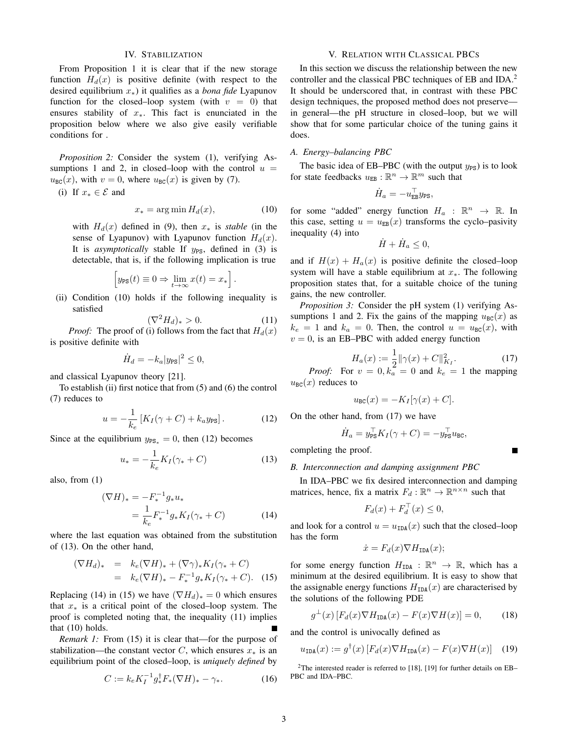### IV. STABILIZATION

From Proposition 1 it is clear that if the new storage function  $H_d(x)$  is positive definite (with respect to the desired equilibrium x∗) it qualifies as a *bona fide* Lyapunov function for the closed–loop system (with  $v = 0$ ) that ensures stability of  $x<sub>*</sub>$ . This fact is enunciated in the proposition below where we also give easily verifiable conditions for .

*Proposition 2:* Consider the system (1), verifying Assumptions 1 and 2, in closed–loop with the control  $u =$  $u_{BC}(x)$ , with  $v = 0$ , where  $u_{BC}(x)$  is given by (7).

(i) If 
$$
x_* \in \mathcal{E}
$$
 and

$$
x_* = \arg\min H_d(x),\tag{10}
$$

with  $H_d(x)$  defined in (9), then  $x_*$  is *stable* (in the sense of Lyapunov) with Lyapunov function  $H_d(x)$ . It is *asymptotically* stable If  $y_{PS}$ , defined in (3) is detectable, that is, if the following implication is true

$$
\[y_{\text{PS}}(t) \equiv 0 \Rightarrow \lim_{t \to \infty} x(t) = x_*\].
$$

(ii) Condition (10) holds if the following inequality is satisfied

$$
(\nabla^2 H_d)_* > 0. \tag{11}
$$

*Proof:* The proof of (i) follows from the fact that  $H_d(x)$ is positive definite with

$$
\dot{H}_d = -k_a |y_{\rm PS}|^2 \le 0,
$$

and classical Lyapunov theory [21].

To establish (ii) first notice that from (5) and (6) the control (7) reduces to

$$
u = -\frac{1}{k_e} \left[ K_I(\gamma + C) + k_a y_{\text{PS}} \right]. \tag{12}
$$

Since at the equilibrium  $y_{PS_*} = 0$ , then (12) becomes

$$
u_* = -\frac{1}{k_e} K_I(\gamma_* + C)
$$
 (13)

also, from (1)

$$
(\nabla H)_* = -F_*^{-1} g_* u_*
$$
  
= 
$$
\frac{1}{k_e} F_*^{-1} g_* K_I(\gamma_* + C)
$$
 (14)

where the last equation was obtained from the substitution of (13). On the other hand,

$$
(\nabla H_d)_* = k_e (\nabla H)_* + (\nabla \gamma)_* K_I (\gamma_* + C)
$$
  
=  $k_e (\nabla H)_* - F_*^{-1} g_* K_I (\gamma_* + C).$  (15)

Replacing (14) in (15) we have  $(\nabla H_d)_* = 0$  which ensures that  $x<sub>*</sub>$  is a critical point of the closed–loop system. The proof is completed noting that, the inequality (11) implies that (10) holds.

*Remark 1:* From (15) it is clear that—for the purpose of stabilization—the constant vector C, which ensures  $x_*$  is an equilibrium point of the closed–loop, is *uniquely defined* by

$$
C := k_e K_I^{-1} g_*^{\dagger} F_*(\nabla H)_* - \gamma_*.
$$
 (16)

### V. RELATION WITH CLASSICAL PBCS

In this section we discuss the relationship between the new controller and the classical PBC techniques of EB and IDA.<sup>2</sup> It should be underscored that, in contrast with these PBC design techniques, the proposed method does not preserve in general—the pH structure in closed–loop, but we will show that for some particular choice of the tuning gains it does.

# *A. Energy–balancing PBC*

The basic idea of EB–PBC (with the output  $y_{PS}$ ) is to look for state feedbacks  $u_{EB}: \mathbb{R}^n \to \mathbb{R}^m$  such that

$$
\dot{H}_a = - u_{\text{EB}}^\top y_{\text{PS}},
$$

for some "added" energy function  $H_a$  :  $\mathbb{R}^n \to \mathbb{R}$ . In this case, setting  $u = u_{EB}(x)$  transforms the cyclo–pasivity inequality (4) into

$$
\dot{H} + \dot{H}_a \leq 0,
$$

and if  $H(x) + H_a(x)$  is positive definite the closed–loop system will have a stable equilibrium at  $x<sub>*</sub>$ . The following proposition states that, for a suitable choice of the tuning gains, the new controller.

*Proposition 3:* Consider the pH system (1) verifying Assumptions 1 and 2. Fix the gains of the mapping  $u_{BC}(x)$  as  $k_e = 1$  and  $k_a = 0$ . Then, the control  $u = u_{BC}(x)$ , with  $v = 0$ , is an EB–PBC with added energy function

$$
H_a(x) := \frac{1}{2} ||\gamma(x) + C||_{K_I}^2.
$$
 (17)

П

*Proof:* For  $v = 0, k_a = 0$  and  $k_e = 1$  the mapping  $u_{\text{BC}}(x)$  reduces to

$$
u_{\rm BC}(x) = -K_I[\gamma(x) + C].
$$

On the other hand, from (17) we have

$$
\dot{H}_a = y_{\text{PS}}^\top K_I(\gamma + C) = -y_{\text{PS}}^\top u_{\text{BC}},
$$

completing the proof.

### *B. Interconnection and damping assignment PBC*

In IDA–PBC we fix desired interconnection and damping matrices, hence, fix a matrix  $F_d : \mathbb{R}^n \to \mathbb{R}^{n \times n}$  such that

$$
F_d(x) + F_d^{\top}(x) \le 0,
$$

and look for a control  $u = u_{\text{IDA}}(x)$  such that the closed–loop has the form

$$
\dot{x} = F_d(x)\nabla H_{\text{IDA}}(x);
$$

for some energy function  $H_{\text{IDA}} : \mathbb{R}^n \to \mathbb{R}$ , which has a minimum at the desired equilibrium. It is easy to show that the assignable energy functions  $H_{\text{IDA}}(x)$  are characterised by the solutions of the following PDE

$$
g^{\perp}(x)\left[F_d(x)\nabla H_{\text{IDA}}(x) - F(x)\nabla H(x)\right] = 0,\qquad(18)
$$

and the control is univocally defined as

$$
u_{\text{IDA}}(x) := g^{\dagger}(x) \left[ F_d(x) \nabla H_{\text{IDA}}(x) - F(x) \nabla H(x) \right] \tag{19}
$$

<sup>2</sup>The interested reader is referred to [18], [19] for further details on EB-PBC and IDA–PBC.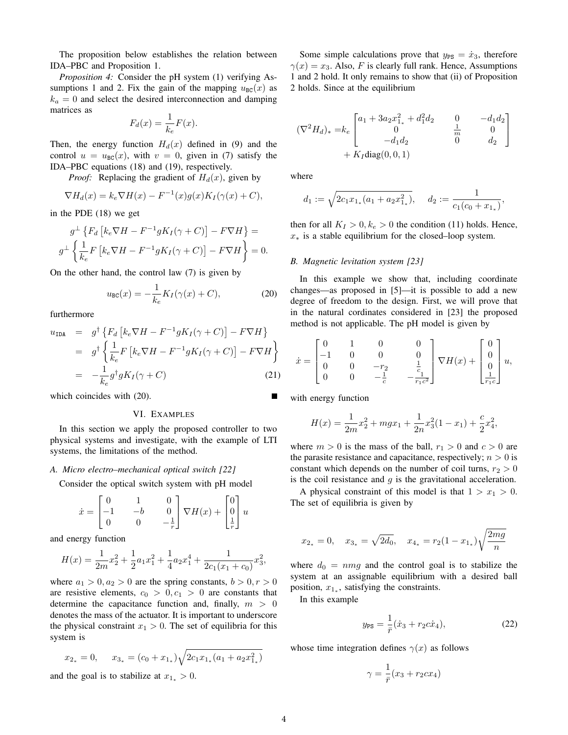The proposition below establishes the relation between IDA–PBC and Proposition 1.

*Proposition 4:* Consider the pH system (1) verifying Assumptions 1 and 2. Fix the gain of the mapping  $u_{BC}(x)$  as  $k_a = 0$  and select the desired interconnection and damping matrices as

$$
F_d(x) = \frac{1}{k_e} F(x).
$$

Then, the energy function  $H_d(x)$  defined in (9) and the control  $u = u_{BC}(x)$ , with  $v = 0$ , given in (7) satisfy the IDA–PBC equations (18) and (19), respectively.

*Proof:* Replacing the gradient of  $H_d(x)$ , given by

$$
\nabla H_d(x) = k_e \nabla H(x) - F^{-1}(x)g(x)K_I(\gamma(x) + C),
$$

in the PDE (18) we get

$$
g^{\perp} \left\{ F_d \left[ k_e \nabla H - F^{-1} g K_I(\gamma + C) \right] - F \nabla H \right\} =
$$
  

$$
g^{\perp} \left\{ \frac{1}{k_e} F \left[ k_e \nabla H - F^{-1} g K_I(\gamma + C) \right] - F \nabla H \right\} = 0.
$$

On the other hand, the control law (7) is given by

$$
u_{\rm BC}(x) = -\frac{1}{k_e} K_I(\gamma(x) + C), \tag{20}
$$

furthermore

$$
u_{\text{IDA}} = g^{\dagger} \left\{ F_d \left[ k_e \nabla H - F^{-1} g K_I (\gamma + C) \right] - F \nabla H \right\}
$$
  
\n
$$
= g^{\dagger} \left\{ \frac{1}{k_e} F \left[ k_e \nabla H - F^{-1} g K_I (\gamma + C) \right] - F \nabla H \right\}
$$
  
\n
$$
= -\frac{1}{k_e} g^{\dagger} g K_I (\gamma + C) \tag{21}
$$

which coincides with (20).

## VI. EXAMPLES

In this section we apply the proposed controller to two physical systems and investigate, with the example of LTI systems, the limitations of the method.

#### *A. Micro electro–mechanical optical switch [22]*

Consider the optical switch system with pH model

$$
\dot{x} = \begin{bmatrix} 0 & 1 & 0 \\ -1 & -b & 0 \\ 0 & 0 & -\frac{1}{r} \end{bmatrix} \nabla H(x) + \begin{bmatrix} 0 \\ 0 \\ \frac{1}{r} \end{bmatrix} u
$$

and energy function

$$
H(x) = \frac{1}{2m}x_2^2 + \frac{1}{2}a_1x_1^2 + \frac{1}{4}a_2x_1^4 + \frac{1}{2c_1(x_1 + c_0)}x_3^2,
$$

where  $a_1 > 0, a_2 > 0$  are the spring constants,  $b > 0, r > 0$ are resistive elements,  $c_0 > 0, c_1 > 0$  are constants that determine the capacitance function and, finally,  $m > 0$ denotes the mass of the actuator. It is important to underscore the physical constraint  $x_1 > 0$ . The set of equilibria for this system is

$$
x_{2*} = 0
$$
,  $x_{3*} = (c_0 + x_{1*})\sqrt{2c_1x_{1*}(a_1 + a_2x_{1*}^2)}$ 

and the goal is to stabilize at  $x_{1*} > 0$ .

Some simple calculations prove that  $y_{PS} = \dot{x}_3$ , therefore  $\gamma(x) = x_3$ . Also, F is clearly full rank. Hence, Assumptions 1 and 2 hold. It only remains to show that (ii) of Proposition 2 holds. Since at the equilibrium

$$
(\nabla^2 H_d)_* = k_e \begin{bmatrix} a_1 + 3a_2x_{1*}^2 + d_1^2d_2 & 0 & -d_1d_2 \\ 0 & \frac{1}{m} & 0 \\ -d_1d_2 & 0 & d_2 \end{bmatrix} + K_I \text{diag}(0, 0, 1)
$$

where

$$
d_1 := \sqrt{2c_1x_{1*}(a_1 + a_2x_{1*}^2)}, \quad d_2 := \frac{1}{c_1(c_0 + x_{1*})},
$$

then for all  $K_I > 0, k_e > 0$  the condition (11) holds. Hence,  $x<sub>*</sub>$  is a stable equilibrium for the closed–loop system.

#### *B. Magnetic levitation system [23]*

In this example we show that, including coordinate changes—as proposed in [5]—it is possible to add a new degree of freedom to the design. First, we will prove that in the natural cordinates considered in [23] the proposed method is not applicable. The pH model is given by

$$
\dot{x} = \begin{bmatrix} 0 & 1 & 0 & 0 \\ -1 & 0 & 0 & 0 \\ 0 & 0 & -r_2 & \frac{1}{c} \\ 0 & 0 & -\frac{1}{c} & -\frac{1}{r_1c^2} \end{bmatrix} \nabla H(x) + \begin{bmatrix} 0 \\ 0 \\ 0 \\ \frac{1}{r_1c} \end{bmatrix} u,
$$

with energy function

$$
H(x) = \frac{1}{2m}x_2^2 + mgx_1 + \frac{1}{2n}x_3^2(1 - x_1) + \frac{c}{2}x_4^2,
$$

where  $m > 0$  is the mass of the ball,  $r_1 > 0$  and  $c > 0$  are the parasite resistance and capacitance, respectively;  $n > 0$  is constant which depends on the number of coil turns,  $r_2 > 0$ is the coil resistance and  $g$  is the gravitational acceleration.

A physical constraint of this model is that  $1 > x_1 > 0$ . The set of equilibria is given by

$$
x_{2_*} = 0
$$
,  $x_{3_*} = \sqrt{2d_0}$ ,  $x_{4_*} = r_2(1 - x_{1_*})\sqrt{\frac{2mg}{n}}$ 

where  $d_0 = nmg$  and the control goal is to stabilize the system at an assignable equilibrium with a desired ball position,  $x_{1*}$ , satisfying the constraints.

In this example

$$
y_{\rm PS} = \frac{1}{\bar{r}} (\dot{x}_3 + r_2 c \dot{x}_4), \tag{22}
$$

whose time integration defines  $\gamma(x)$  as follows

$$
\gamma = \frac{1}{\bar{r}}(x_3 + r_2 c x_4)
$$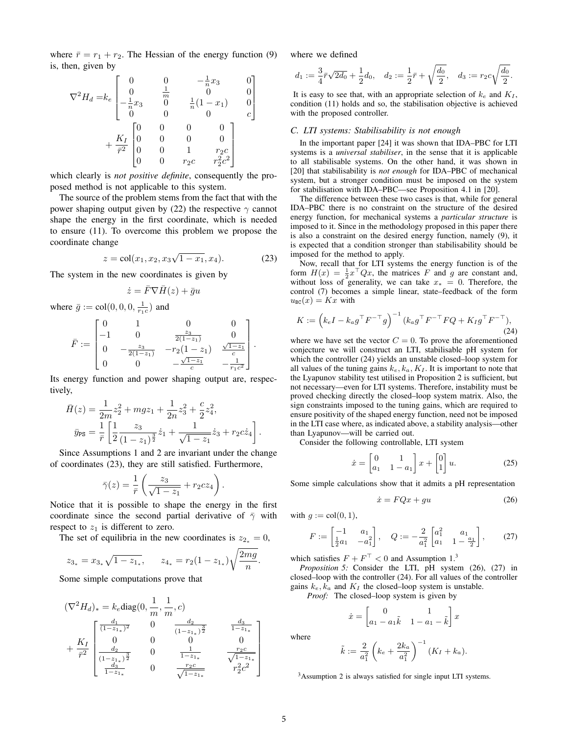where  $\bar{r} = r_1 + r_2$ . The Hessian of the energy function (9) is, then, given by

$$
\nabla^2 H_d = k_e \begin{bmatrix}\n0 & 0 & -\frac{1}{n}x_3 & 0 \\
0 & \frac{1}{m} & 0 & 0 \\
-\frac{1}{n}x_3 & 0 & \frac{1}{n}(1-x_1) & 0 \\
0 & 0 & 0 & 0 & c\n\end{bmatrix}
$$
\n
$$
+ \frac{K_I}{\bar{r}^2} \begin{bmatrix}\n0 & 0 & 0 & 0 & 0 \\
0 & 0 & 0 & 0 & 0 \\
0 & 0 & 1 & r_2c \\
0 & 0 & r_2c & r_2^2c^2\n\end{bmatrix}
$$

which clearly is *not positive definite*, consequently the proposed method is not applicable to this system.

The source of the problem stems from the fact that with the power shaping output given by (22) the respective  $\gamma$  cannot shape the energy in the first coordinate, which is needed to ensure (11). To overcome this problem we propose the coordinate change

$$
z = \text{col}(x_1, x_2, x_3\sqrt{1 - x_1}, x_4). \tag{23}
$$

The system in the new coordinates is given by

$$
\dot{z} = \bar{F}\nabla\bar{H}(z) + \bar{g}u
$$

where  $\bar{g} := \text{col}(0, 0, 0, \frac{1}{r_1 c})$  and

$$
\bar{F} := \begin{bmatrix} 0 & 1 & 0 & 0 \\ -1 & 0 & \frac{z_3}{2(1-z_1)} & 0 \\ 0 & -\frac{z_3}{2(1-z_1)} & -r_2(1-z_1) & \frac{\sqrt{1-z_1}}{c} \\ 0 & 0 & -\frac{\sqrt{1-z_1}}{c} & -\frac{1}{r_1c^2} \end{bmatrix}.
$$

Its energy function and power shaping output are, respectively,

$$
\bar{H}(z) = \frac{1}{2m}z_2^2 + mgz_1 + \frac{1}{2n}z_3^2 + \frac{c}{2}z_4^2,
$$
\n
$$
\bar{y}_{\text{PS}} = \frac{1}{\bar{r}} \left[ \frac{1}{2} \frac{z_3}{(1 - z_1)^{\frac{3}{2}}} \dot{z}_1 + \frac{1}{\sqrt{1 - z_1}} \dot{z}_3 + r_2 c \dot{z}_4 \right].
$$

Since Assumptions 1 and 2 are invariant under the change of coordinates (23), they are still satisfied. Furthermore,

$$
\bar{\gamma}(z) = \frac{1}{\bar{r}} \left( \frac{z_3}{\sqrt{1 - z_1}} + r_2 c z_4 \right).
$$

Notice that it is possible to shape the energy in the first coordinate since the second partial derivative of  $\bar{\gamma}$  with respect to  $z_1$  is different to zero.

The set of equilibria in the new coordinates is  $z_{2*} = 0$ ,

$$
z_{3_*} = x_{3_*} \sqrt{1 - z_{1_*}},
$$
  $z_{4_*} = r_2 (1 - z_{1_*}) \sqrt{\frac{2mg}{n}}.$ 

Some simple computations prove that

$$
(\nabla^2 H_d)_* = k_e \text{diag}\left(0, \frac{1}{m}, \frac{1}{m}, c\right)
$$
  
+  $\frac{K_I}{\bar{r}^2} \begin{bmatrix} \frac{d_1}{(1-z_{1_*})^2} & 0 & \frac{d_2}{(1-z_{1_*})^{\frac{3}{2}}} & \frac{d_3}{1-z_{1_*}} \\ 0 & 0 & 0 & 0 \\ \frac{d_2}{(1-z_{1_*})^{\frac{3}{2}}} & 0 & \frac{1}{1-z_{1_*}} & \frac{r_2 c}{\sqrt{1-z_{1_*}}} \\ \frac{d_3}{1-z_{1_*}} & 0 & \frac{r_2 c}{\sqrt{1-z_{1_*}}} & r_2^2 c^2 \end{bmatrix}$ 

where we defined

$$
d_1 := \frac{3}{4}\bar{r}\sqrt{2d_0} + \frac{1}{2}d_0
$$
,  $d_2 := \frac{1}{2}\bar{r} + \sqrt{\frac{d_0}{2}}$ ,  $d_3 := r_2 c \sqrt{\frac{d_0}{2}}$ .

It is easy to see that, with an appropriate selection of  $k_e$  and  $K_I$ , condition (11) holds and so, the stabilisation objective is achieved with the proposed controller.

#### *C. LTI systems: Stabilisability is not enough*

In the important paper [24] it was shown that IDA–PBC for LTI systems is a *universal stabiliser*, in the sense that it is applicable to all stabilisable systems. On the other hand, it was shown in [20] that stabilisability is *not enough* for IDA–PBC of mechanical system, but a stronger condition must be imposed on the system for stabilisation with IDA–PBC—see Proposition 4.1 in [20].

The difference between these two cases is that, while for general IDA–PBC there is no constraint on the structure of the desired energy function, for mechanical systems a *particular structure* is imposed to it. Since in the methodology proposed in this paper there is also a constraint on the desired energy function, namely (9), it is expected that a condition stronger than stabilisability should be imposed for the method to apply.

Now, recall that for LTI systems the energy function is of the form  $H(x) = \frac{1}{2}x^{\top}Qx$ , the matrices F and g are constant and, without loss of generality, we can take  $x_* = 0$ . Therefore, the control (7) becomes a simple linear, state–feedback of the form  $u_{BC}(x) = Kx$  with

$$
K := \left(k_e I - k_a g^{\top} F^{-\top} g\right)^{-1} \left(k_a g^{\top} F^{-\top} F Q + K_I g^{\top} F^{-\top}\right),\tag{24}
$$

where we have set the vector  $C = 0$ . To prove the aforementioned conjecture we will construct an LTI, stabilisable pH system for which the controller (24) yields an unstable closed–loop system for all values of the tuning gains  $k_e, k_a, K_I$ . It is important to note that the Lyapunov stability test utilised in Proposition 2 is sufficient, but not necessary—even for LTI systems. Therefore, instability must be proved checking directly the closed–loop system matrix. Also, the sign constraints imposed to the tuning gains, which are required to ensure positivity of the shaped energy function, need not be imposed in the LTI case where, as indicated above, a stability analysis—other than Lyapunov—will be carried out.

Consider the following controllable, LTI system

$$
\dot{x} = \begin{bmatrix} 0 & 1 \\ a_1 & 1 - a_1 \end{bmatrix} x + \begin{bmatrix} 0 \\ 1 \end{bmatrix} u.
$$
 (25)

Some simple calculations show that it admits a pH representation

$$
\dot{x} = FQx + gu \tag{26}
$$

with  $g := \text{col}(0, 1)$ ,

$$
F := \begin{bmatrix} -1 & a_1 \\ \frac{1}{2}a_1 & -a_1^2 \end{bmatrix}, \quad Q := -\frac{2}{a_1^2} \begin{bmatrix} a_1^2 & a_1 \\ a_1 & 1 - \frac{a_1}{2} \end{bmatrix}, \tag{27}
$$

which satisfies  $F + F^{\top} < 0$  and Assumption 1.<sup>3</sup>

*Proposition 5:* Consider the LTI, pH system (26), (27) in closed–loop with the controller (24). For all values of the controller gains  $k_e$ ,  $k_a$  and  $K_I$  the closed–loop system is unstable. *Proof:* The closed–loop system is given by

$$
\dot{x} = \begin{bmatrix} 0 & 1 \\ a_1 - a_1 \tilde{k} & 1 - a_1 - \tilde{k} \end{bmatrix} x
$$

where

$$
\tilde{k} := \frac{2}{a_1^2} \left( k_e + \frac{2k_a}{a_1^2} \right)^{-1} (K_I + k_a).
$$

<sup>3</sup>Assumption 2 is always satisfied for single input LTI systems.